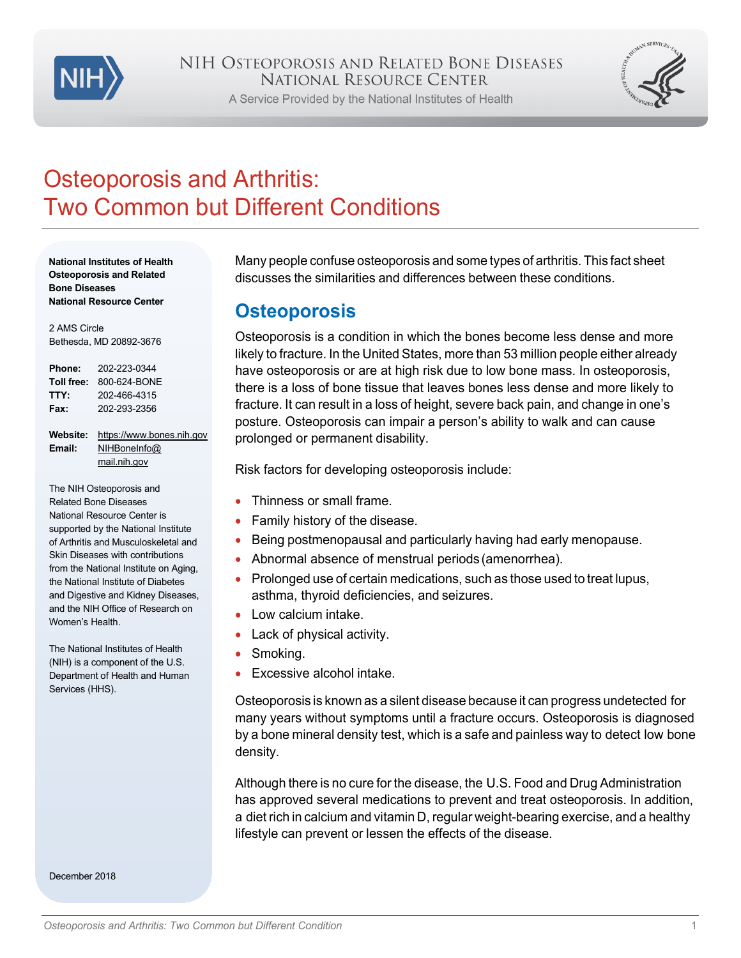

A Service Provided by the National Institutes of Health



# Osteoporosis and Arthritis: Two Common but Different Conditions

**National Institutes of Health Osteoporosis and Related Bone Diseases National Resource Center**

2 AMS Circle Bethesda, MD 20892-3676

| Phone:     | 202-223-0344 |
|------------|--------------|
| Toll free: | 800-624-BONE |
| TTY:       | 202-466-4315 |
| Fax:       | 202-293-2356 |

**Website:** [https://www.bones.nih.gov](https://www.bones.nih.gov/) **Email:** [NIHBoneInfo@](mailto:NIHBoneInfo@mail.nih.gov) [mail.nih.gov](mailto:NIHBoneInfo@mail.nih.gov)

The NIH Osteoporosis and Related Bone Diseases National Resource Center is supported by the National Institute of Arthritis and Musculoskeletal and Skin Diseases with contributions from the National Institute on Aging, the National Institute of Diabetes and Digestive and Kidney Diseases, and the NIH Office of Research on Women's Health.

The National Institutes of Health (NIH) is a component of the U.S. Department of Health and Human Services (HHS).

December 2018

Many people confuse osteoporosis and some types of arthritis. This fact sheet discusses the similarities and differences between these conditions.

#### **Osteoporosis**

Osteoporosis is a condition in which the bones become less dense and more likely to fracture. In the United States, more than 53 million people either already have osteoporosis or are at high risk due to low bone mass. In osteoporosis, there is a loss of bone tissue that leaves bones less dense and more likely to fracture. It can result in a loss of height, severe back pain, and change in one's posture. Osteoporosis can impair a person's ability to walk and can cause prolonged or permanent disability.

Risk factors for developing osteoporosis include:

- Thinness or small frame.
- Family history of the disease.
- Being postmenopausal and particularly having had early menopause.
- Abnormal absence of menstrual periods (amenorrhea).
- Prolonged use of certain medications, such as those used to treat lupus, asthma, thyroid deficiencies, and seizures.
- Low calcium intake.
- Lack of physical activity.
- Smoking.
- Excessive alcohol intake.

Osteoporosis is known as a silent disease because it can progress undetected for many years without symptoms until a fracture occurs. Osteoporosis is diagnosed by a bone mineral density test, which is a safe and painless way to detect low bone density.

Although there is no cure for the disease, the U.S. Food and Drug Administration has approved several medications to prevent and treat osteoporosis. In addition, a diet rich in calcium and vitamin D, regular weight-bearing exercise, and a healthy lifestyle can prevent or lessen the effects of the disease.